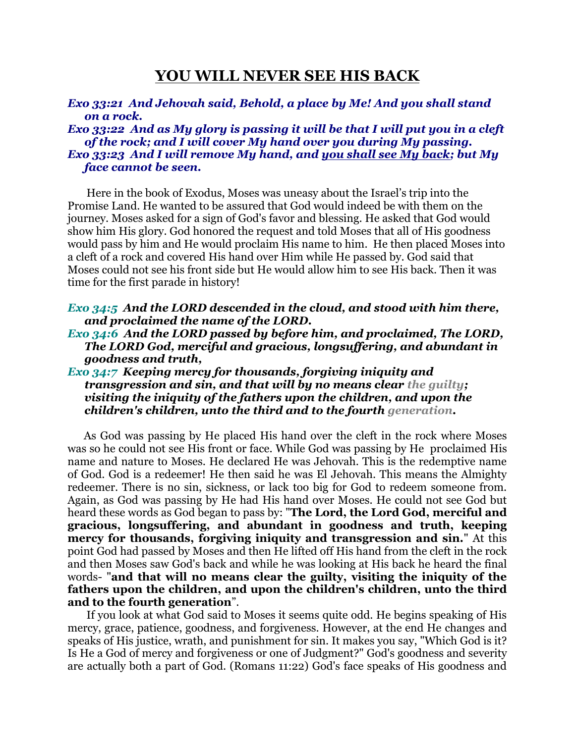# **YOU WILL NEVER SEE HIS BACK**

# *Exo 33:21 And Jehovah said, Behold, a place by Me! And you shall stand on a rock.*

*Exo 33:22 And as My glory is passing it will be that I will put you in a cleft of the rock; and I will cover My hand over you during My passing. Exo 33:23 And I will remove My hand, and you shall see My back; but My face cannot be seen.* 

 Here in the book of Exodus, Moses was uneasy about the Israel's trip into the Promise Land. He wanted to be assured that God would indeed be with them on the journey. Moses asked for a sign of God's favor and blessing. He asked that God would show him His glory. God honored the request and told Moses that all of His goodness would pass by him and He would proclaim His name to him. He then placed Moses into a cleft of a rock and covered His hand over Him while He passed by. God said that Moses could not see his front side but He would allow him to see His back. Then it was time for the first parade in history!

*Exo 34:5 And the LORD descended in the cloud, and stood with him there, and proclaimed the name of the LORD.* 

*Exo 34:6 And the LORD passed by before him, and proclaimed, The LORD, The LORD God, merciful and gracious, longsuffering, and abundant in goodness and truth,* 

# *Exo 34:7 Keeping mercy for thousands, forgiving iniquity and transgression and sin, and that will by no means clear the guilty; visiting the iniquity of the fathers upon the children, and upon the children's children, unto the third and to the fourth generation.*

 As God was passing by He placed His hand over the cleft in the rock where Moses was so he could not see His front or face. While God was passing by He proclaimed His name and nature to Moses. He declared He was Jehovah. This is the redemptive name of God. God is a redeemer! He then said he was El Jehovah. This means the Almighty redeemer. There is no sin, sickness, or lack too big for God to redeem someone from. Again, as God was passing by He had His hand over Moses. He could not see God but heard these words as God began to pass by: "**The Lord, the Lord God, merciful and gracious, longsuffering, and abundant in goodness and truth, keeping mercy for thousands, forgiving iniquity and transgression and sin.**" At this point God had passed by Moses and then He lifted off His hand from the cleft in the rock and then Moses saw God's back and while he was looking at His back he heard the final words- "**and that will no means clear the guilty, visiting the iniquity of the fathers upon the children, and upon the children's children, unto the third and to the fourth generation**".

 If you look at what God said to Moses it seems quite odd. He begins speaking of His mercy, grace, patience, goodness, and forgiveness. However, at the end He changes and speaks of His justice, wrath, and punishment for sin. It makes you say, "Which God is it? Is He a God of mercy and forgiveness or one of Judgment?" God's goodness and severity are actually both a part of God. (Romans 11:22) God's face speaks of His goodness and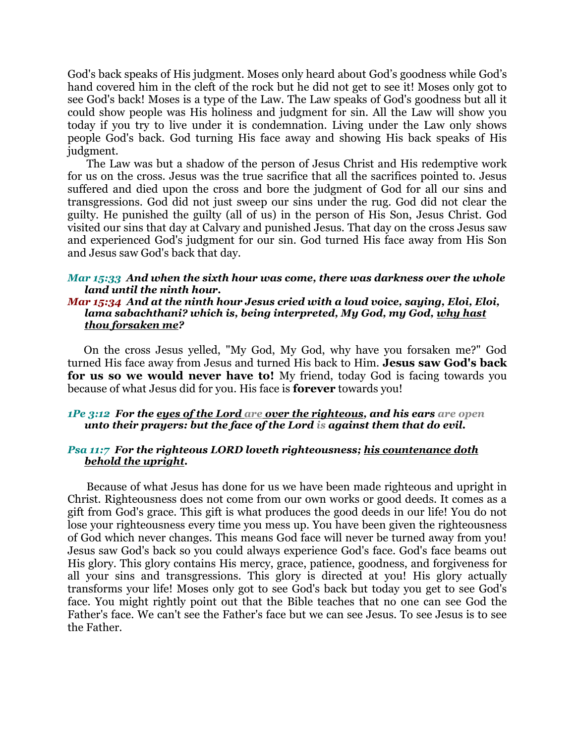God's back speaks of His judgment. Moses only heard about God's goodness while God's hand covered him in the cleft of the rock but he did not get to see it! Moses only got to see God's back! Moses is a type of the Law. The Law speaks of God's goodness but all it could show people was His holiness and judgment for sin. All the Law will show you today if you try to live under it is condemnation. Living under the Law only shows people God's back. God turning His face away and showing His back speaks of His judgment.

 The Law was but a shadow of the person of Jesus Christ and His redemptive work for us on the cross. Jesus was the true sacrifice that all the sacrifices pointed to. Jesus suffered and died upon the cross and bore the judgment of God for all our sins and transgressions. God did not just sweep our sins under the rug. God did not clear the guilty. He punished the guilty (all of us) in the person of His Son, Jesus Christ. God visited our sins that day at Calvary and punished Jesus. That day on the cross Jesus saw and experienced God's judgment for our sin. God turned His face away from His Son and Jesus saw God's back that day.

#### *Mar 15:33 And when the sixth hour was come, there was darkness over the whole land until the ninth hour.*

## *Mar 15:34 And at the ninth hour Jesus cried with a loud voice, saying, Eloi, Eloi, lama sabachthani? which is, being interpreted, My God, my God, why hast thou forsaken me?*

 On the cross Jesus yelled, "My God, My God, why have you forsaken me?" God turned His face away from Jesus and turned His back to Him. **Jesus saw God's back for us so we would never have to!** My friend, today God is facing towards you because of what Jesus did for you. His face is **forever** towards you!

#### *1Pe 3:12 For the eyes of the Lord are over the righteous, and his ears are open unto their prayers: but the face of the Lord is against them that do evil.*

### *Psa 11:7 For the righteous LORD loveth righteousness; his countenance doth behold the upright.*

 Because of what Jesus has done for us we have been made righteous and upright in Christ. Righteousness does not come from our own works or good deeds. It comes as a gift from God's grace. This gift is what produces the good deeds in our life! You do not lose your righteousness every time you mess up. You have been given the righteousness of God which never changes. This means God face will never be turned away from you! Jesus saw God's back so you could always experience God's face. God's face beams out His glory. This glory contains His mercy, grace, patience, goodness, and forgiveness for all your sins and transgressions. This glory is directed at you! His glory actually transforms your life! Moses only got to see God's back but today you get to see God's face. You might rightly point out that the Bible teaches that no one can see God the Father's face. We can't see the Father's face but we can see Jesus. To see Jesus is to see the Father.